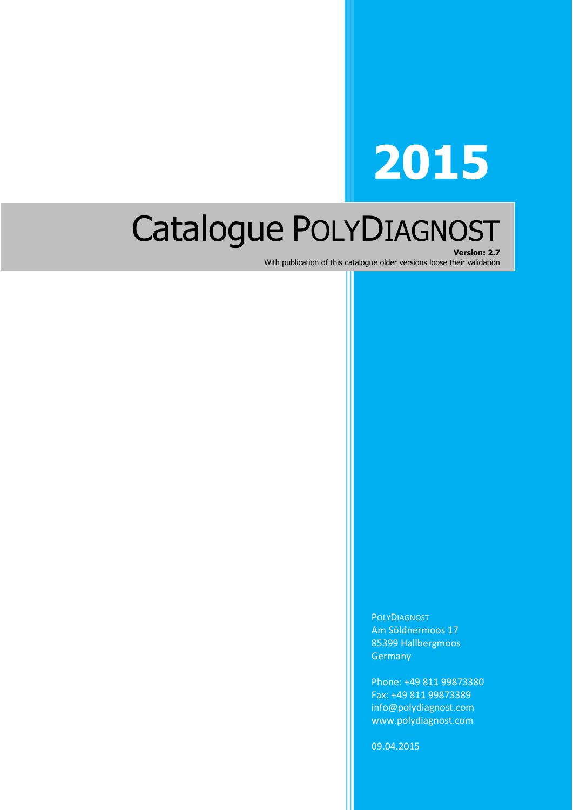# **2015**

# Catalogue POLYDIAGNOST **Version: 2.7**

With publication of this catalogue older versions loose their validation

**POLYDIAGNOST** Am Söldnermoos 17 85399 Hallbergmoos **Germany** 

Phone: +49 811 99873380 Fax: +49 811 99873389 info@polydiagnost.com www.polydiagnost.com

09.04.2015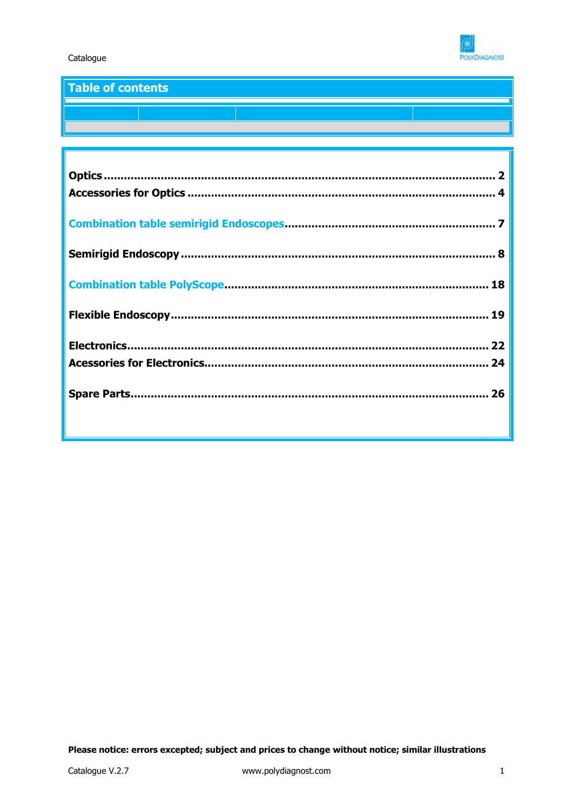

## **Table of contents**

| 26 |
|----|
|    |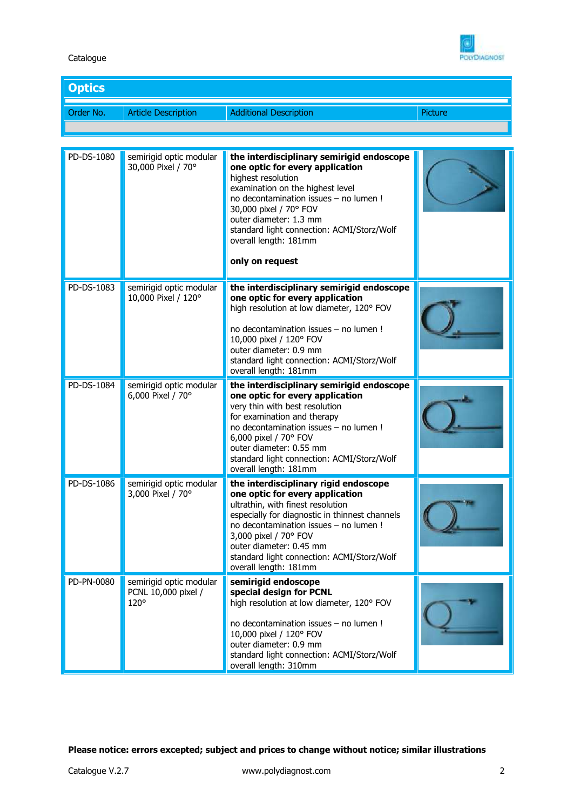



| <b>Optics</b> |                                                        |                                                                                                                                                                                                                                                                                                                                      |         |
|---------------|--------------------------------------------------------|--------------------------------------------------------------------------------------------------------------------------------------------------------------------------------------------------------------------------------------------------------------------------------------------------------------------------------------|---------|
| Order No.     | <b>Article Description</b>                             | <b>Additional Description</b>                                                                                                                                                                                                                                                                                                        | Picture |
|               |                                                        |                                                                                                                                                                                                                                                                                                                                      |         |
| PD-DS-1080    | semirigid optic modular<br>30,000 Pixel / 70°          | the interdisciplinary semirigid endoscope<br>one optic for every application<br>highest resolution<br>examination on the highest level<br>no decontamination issues - no lumen !<br>30,000 pixel / 70° FOV<br>outer diameter: 1.3 mm<br>standard light connection: ACMI/Storz/Wolf<br>overall length: 181mm<br>only on request       |         |
| PD-DS-1083    | semirigid optic modular<br>10,000 Pixel / 120°         | the interdisciplinary semirigid endoscope<br>one optic for every application<br>high resolution at low diameter, 120° FOV<br>no decontamination issues - no lumen !<br>10,000 pixel / 120° FOV<br>outer diameter: 0.9 mm<br>standard light connection: ACMI/Storz/Wolf<br>overall length: 181mm                                      |         |
| PD-DS-1084    | semirigid optic modular<br>6,000 Pixel / 70°           | the interdisciplinary semirigid endoscope<br>one optic for every application<br>very thin with best resolution<br>for examination and therapy<br>no decontamination issues - no lumen !<br>6,000 pixel / 70° FOV<br>outer diameter: 0.55 mm<br>standard light connection: ACMI/Storz/Wolf<br>overall length: 181mm                   |         |
| PD-DS-1086    | semirigid optic modular<br>3,000 Pixel / 70°           | the interdisciplinary rigid endoscope<br>one optic for every application<br>ultrathin, with finest resolution<br>especially for diagnostic in thinnest channels<br>no decontamination issues - no lumen !<br>3,000 pixel / 70° FOV<br>outer diameter: 0.45 mm<br>standard light connection: ACMI/Storz/Wolf<br>overall length: 181mm |         |
| PD-PN-0080    | semirigid optic modular<br>PCNL 10,000 pixel /<br>120° | semirigid endoscope<br>special design for PCNL<br>high resolution at low diameter, 120° FOV<br>no decontamination issues - no lumen!<br>10,000 pixel / 120° FOV<br>outer diameter: 0.9 mm<br>standard light connection: ACMI/Storz/Wolf<br>overall length: 310mm                                                                     |         |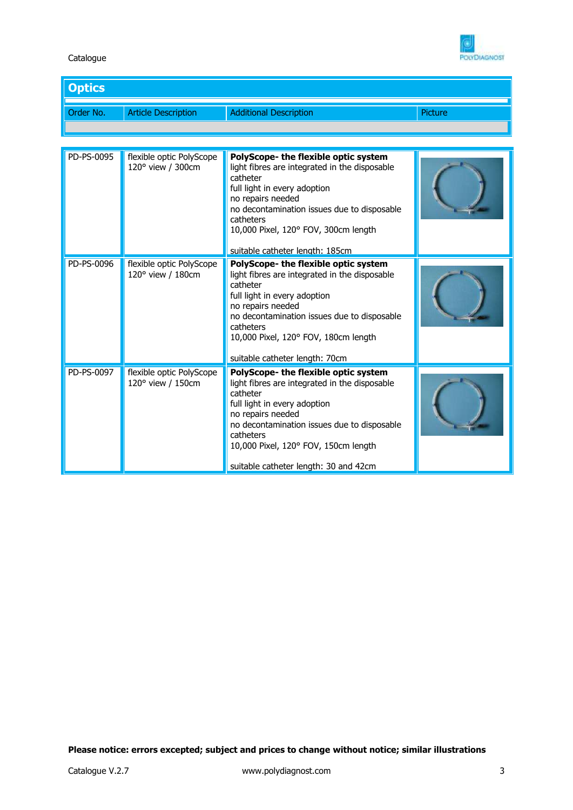

| <b>Optics</b> |                     |                               |         |
|---------------|---------------------|-------------------------------|---------|
| Order No.     | Article Description | <b>Additional Description</b> | Picture |
|               |                     |                               |         |

| PD-PS-0095 | flexible optic PolyScope<br>120° view / 300cm | PolyScope- the flexible optic system<br>light fibres are integrated in the disposable<br>catheter<br>full light in every adoption<br>no repairs needed<br>no decontamination issues due to disposable<br>catheters<br>10,000 Pixel, 120° FOV, 300cm length<br>suitable catheter length: 185cm       |  |
|------------|-----------------------------------------------|-----------------------------------------------------------------------------------------------------------------------------------------------------------------------------------------------------------------------------------------------------------------------------------------------------|--|
| PD-PS-0096 | flexible optic PolyScope<br>120° view / 180cm | PolyScope- the flexible optic system<br>light fibres are integrated in the disposable<br>catheter<br>full light in every adoption<br>no repairs needed<br>no decontamination issues due to disposable<br>catheters<br>10,000 Pixel, 120° FOV, 180cm length<br>suitable catheter length: 70cm        |  |
| PD-PS-0097 | flexible optic PolyScope<br>120° view / 150cm | PolyScope- the flexible optic system<br>light fibres are integrated in the disposable<br>catheter<br>full light in every adoption<br>no repairs needed<br>no decontamination issues due to disposable<br>catheters<br>10,000 Pixel, 120° FOV, 150cm length<br>suitable catheter length: 30 and 42cm |  |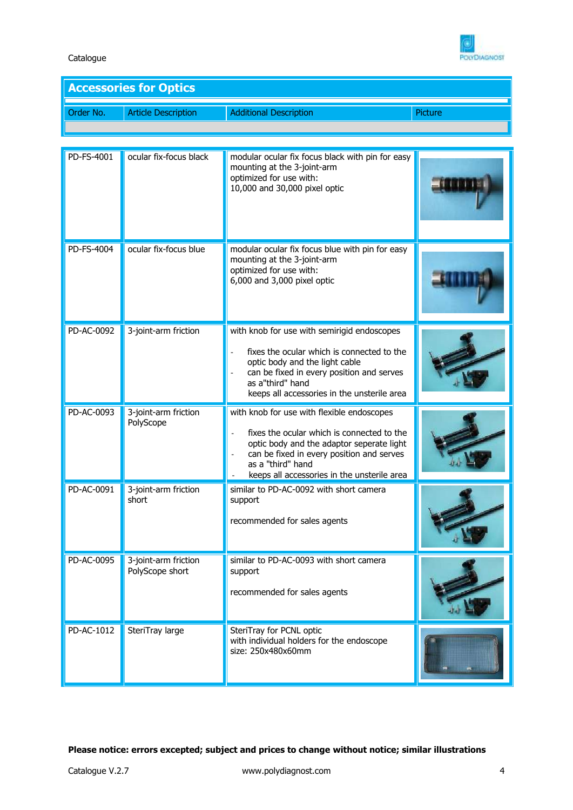

|--|

| Order No. | <b>Article Description</b> | <b>Additional Description</b> | Picture |
|-----------|----------------------------|-------------------------------|---------|
|           |                            |                               |         |

| PD-FS-4001 | ocular fix-focus black                  | modular ocular fix focus black with pin for easy<br>mounting at the 3-joint-arm<br>optimized for use with:<br>10,000 and 30,000 pixel optic                                                                                                                              |  |
|------------|-----------------------------------------|--------------------------------------------------------------------------------------------------------------------------------------------------------------------------------------------------------------------------------------------------------------------------|--|
| PD-FS-4004 | ocular fix-focus blue                   | modular ocular fix focus blue with pin for easy<br>mounting at the 3-joint-arm<br>optimized for use with:<br>6,000 and 3,000 pixel optic                                                                                                                                 |  |
| PD-AC-0092 | 3-joint-arm friction                    | with knob for use with semirigid endoscopes<br>fixes the ocular which is connected to the<br>optic body and the light cable<br>can be fixed in every position and serves<br>as a"third" hand<br>keeps all accessories in the unsterile area                              |  |
| PD-AC-0093 | 3-joint-arm friction<br>PolyScope       | with knob for use with flexible endoscopes<br>fixes the ocular which is connected to the<br>optic body and the adaptor seperate light<br>can be fixed in every position and serves<br>$\overline{a}$<br>as a "third" hand<br>keeps all accessories in the unsterile area |  |
| PD-AC-0091 | 3-joint-arm friction<br>short           | similar to PD-AC-0092 with short camera<br>support<br>recommended for sales agents                                                                                                                                                                                       |  |
| PD-AC-0095 | 3-joint-arm friction<br>PolyScope short | similar to PD-AC-0093 with short camera<br>support<br>recommended for sales agents                                                                                                                                                                                       |  |
| PD-AC-1012 | SteriTray large                         | SteriTray for PCNL optic<br>with individual holders for the endoscope<br>size: 250x480x60mm                                                                                                                                                                              |  |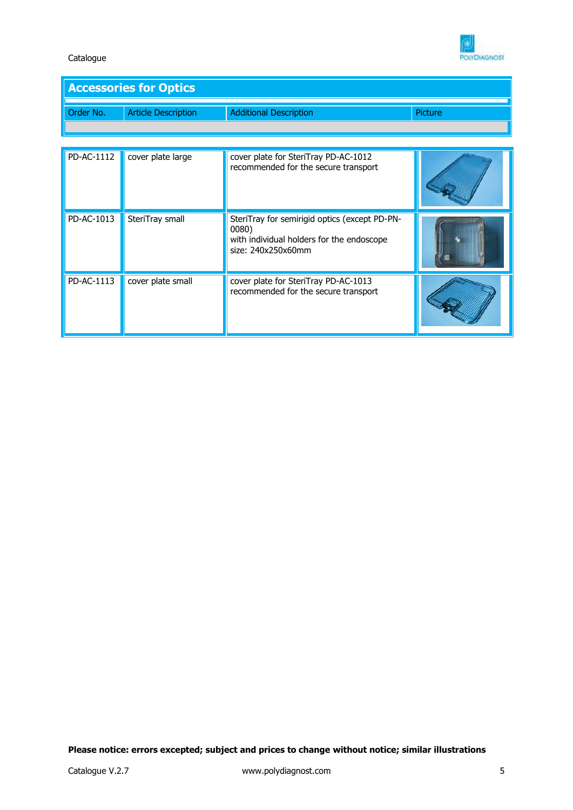

# **Accessories for Optics**

| Order No. | <b>Article Description</b> | <b>Additional Description</b> | Picture |
|-----------|----------------------------|-------------------------------|---------|

| PD-AC-1112 | cover plate large | cover plate for SteriTray PD-AC-1012<br>recommended for the secure transport                                              |  |
|------------|-------------------|---------------------------------------------------------------------------------------------------------------------------|--|
| PD-AC-1013 | SteriTray small   | SteriTray for semirigid optics (except PD-PN-<br>0080)<br>with individual holders for the endoscope<br>size: 240x250x60mm |  |
| PD-AC-1113 | cover plate small | cover plate for SteriTray PD-AC-1013<br>recommended for the secure transport                                              |  |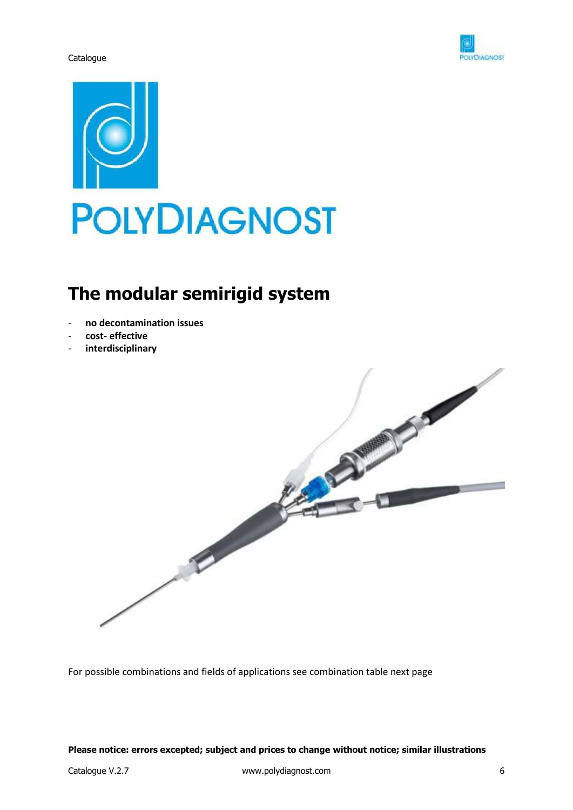



# **The modular semirigid system**

- **no decontamination issues**
- **cost- effective**
- **interdisciplinary**



For possible combinations and fields of applications see combination table next page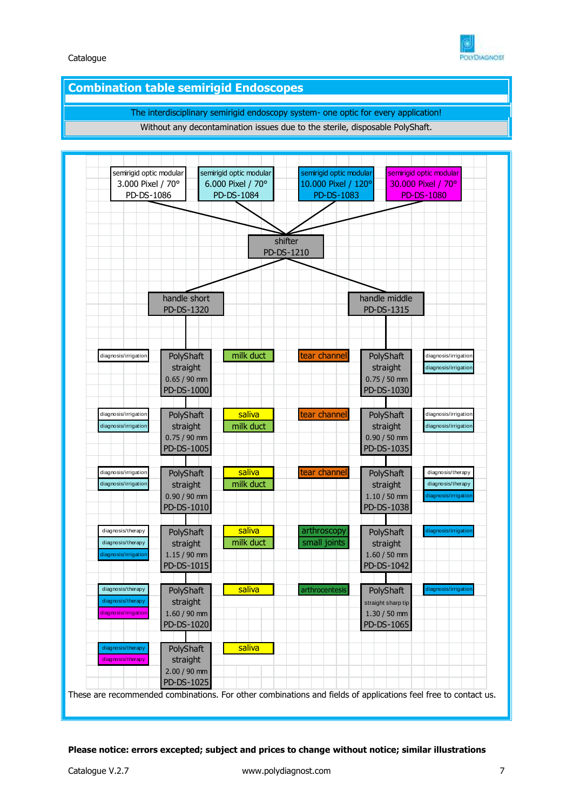

#### **Combination table semirigid Endoscopes**

The interdisciplinary semirigid endoscopy system- one optic for every application!

Without any decontamination issues due to the sterile, disposable PolyShaft.

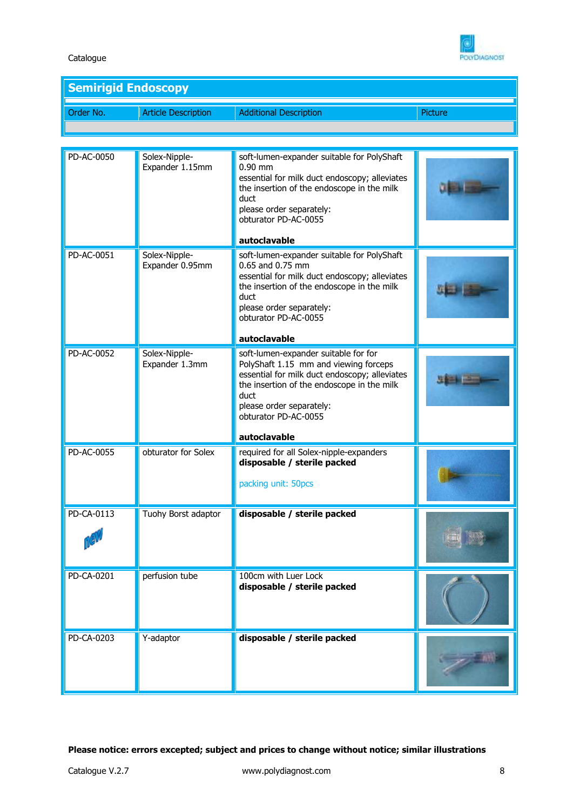

| <b>Semirigid Endoscopy</b> |                            |                               |         |
|----------------------------|----------------------------|-------------------------------|---------|
| Order No.                  | <b>Article Description</b> | <b>Additional Description</b> | Picture |
|                            |                            |                               |         |

| PD-AC-0050 | Solex-Nipple-<br>Expander 1.15mm | soft-lumen-expander suitable for PolyShaft<br>$0.90$ mm<br>essential for milk duct endoscopy; alleviates<br>the insertion of the endoscope in the milk<br>duct<br>please order separately:<br>obturator PD-AC-0055<br>autoclavable                       |  |
|------------|----------------------------------|----------------------------------------------------------------------------------------------------------------------------------------------------------------------------------------------------------------------------------------------------------|--|
| PD-AC-0051 | Solex-Nipple-<br>Expander 0.95mm | soft-lumen-expander suitable for PolyShaft<br>0.65 and 0.75 mm<br>essential for milk duct endoscopy; alleviates<br>the insertion of the endoscope in the milk<br>duct<br>please order separately:<br>obturator PD-AC-0055<br>autoclavable                |  |
| PD-AC-0052 | Solex-Nipple-<br>Expander 1.3mm  | soft-lumen-expander suitable for for<br>PolyShaft 1.15 mm and viewing forceps<br>essential for milk duct endoscopy; alleviates<br>the insertion of the endoscope in the milk<br>duct<br>please order separately:<br>obturator PD-AC-0055<br>autoclavable |  |
| PD-AC-0055 | obturator for Solex              | required for all Solex-nipple-expanders<br>disposable / sterile packed<br>packing unit: 50pcs                                                                                                                                                            |  |
| PD-CA-0113 | Tuohy Borst adaptor              | disposable / sterile packed                                                                                                                                                                                                                              |  |
| PD-CA-0201 | perfusion tube                   | 100cm with Luer Lock<br>disposable / sterile packed                                                                                                                                                                                                      |  |
| PD-CA-0203 | Y-adaptor                        | disposable / sterile packed                                                                                                                                                                                                                              |  |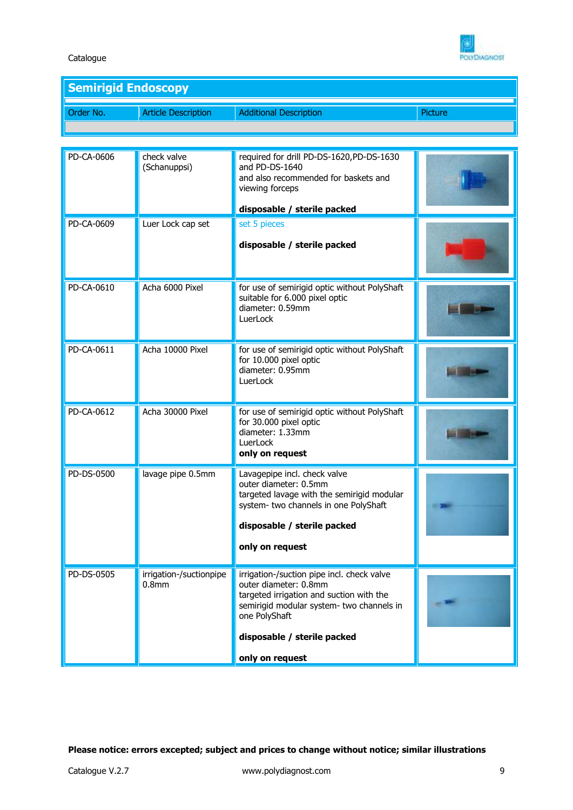

Article Description Additional Description **Additional Description** 

| PD-CA-0606 | check valve<br>(Schanuppsi)                  | required for drill PD-DS-1620,PD-DS-1630<br>and PD-DS-1640<br>and also recommended for baskets and<br>viewing forceps<br>disposable / sterile packed                                                         |  |
|------------|----------------------------------------------|--------------------------------------------------------------------------------------------------------------------------------------------------------------------------------------------------------------|--|
| PD-CA-0609 | Luer Lock cap set                            | set 5 pieces<br>disposable / sterile packed                                                                                                                                                                  |  |
| PD-CA-0610 | Acha 6000 Pixel                              | for use of semirigid optic without PolyShaft<br>suitable for 6.000 pixel optic<br>diameter: 0.59mm<br>LuerLock                                                                                               |  |
| PD-CA-0611 | Acha 10000 Pixel                             | for use of semirigid optic without PolyShaft<br>for 10.000 pixel optic<br>diameter: 0.95mm<br>LuerLock                                                                                                       |  |
| PD-CA-0612 | Acha 30000 Pixel                             | for use of semirigid optic without PolyShaft<br>for 30.000 pixel optic<br>diameter: 1.33mm<br>LuerLock<br>only on request                                                                                    |  |
| PD-DS-0500 | lavage pipe 0.5mm                            | Lavagepipe incl. check valve<br>outer diameter: 0.5mm<br>targeted lavage with the semirigid modular<br>system- two channels in one PolyShaft<br>disposable / sterile packed                                  |  |
|            |                                              | only on request                                                                                                                                                                                              |  |
| PD-DS-0505 | irrigation-/suctionpipe<br>0.8 <sub>mm</sub> | irrigation-/suction pipe incl. check valve<br>outer diameter: 0.8mm<br>targeted irrigation and suction with the<br>semirigid modular system- two channels in<br>one PolyShaft<br>disposable / sterile packed |  |
|            |                                              | only on request                                                                                                                                                                                              |  |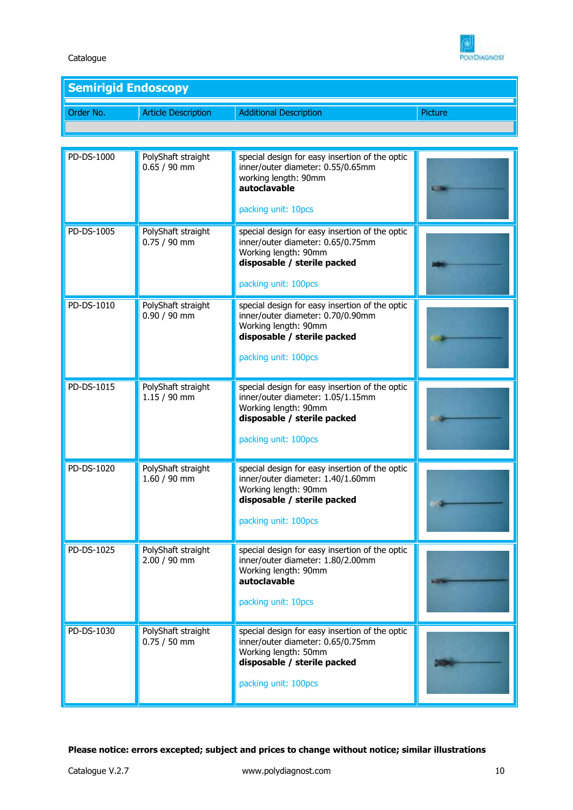

Order No. **Article Description** Additional Description **Additional Description** 

| PD-DS-1000 | PolyShaft straight<br>$0.65 / 90$ mm | special design for easy insertion of the optic<br>inner/outer diameter: 0.55/0.65mm<br>working length: 90mm<br>autoclavable<br>packing unit: 10pcs                 |  |
|------------|--------------------------------------|--------------------------------------------------------------------------------------------------------------------------------------------------------------------|--|
| PD-DS-1005 | PolyShaft straight<br>$0.75/90$ mm   | special design for easy insertion of the optic<br>inner/outer diameter: 0.65/0.75mm<br>Working length: 90mm<br>disposable / sterile packed<br>packing unit: 100pcs |  |
| PD-DS-1010 | PolyShaft straight<br>$0.90 / 90$ mm | special design for easy insertion of the optic<br>inner/outer diameter: 0.70/0.90mm<br>Working length: 90mm<br>disposable / sterile packed<br>packing unit: 100pcs |  |
| PD-DS-1015 | PolyShaft straight<br>$1.15/90$ mm   | special design for easy insertion of the optic<br>inner/outer diameter: 1.05/1.15mm<br>Working length: 90mm<br>disposable / sterile packed<br>packing unit: 100pcs |  |
| PD-DS-1020 | PolyShaft straight<br>$1.60 / 90$ mm | special design for easy insertion of the optic<br>inner/outer diameter: 1.40/1.60mm<br>Working length: 90mm<br>disposable / sterile packed<br>packing unit: 100pcs |  |
| PD-DS-1025 | PolyShaft straight<br>$2.00 / 90$ mm | special design for easy insertion of the optic<br>inner/outer diameter: 1.80/2.00mm<br>Working length: 90mm<br>autoclavable<br>packing unit: 10pcs                 |  |
| PD-DS-1030 | PolyShaft straight<br>$0.75 / 50$ mm | special design for easy insertion of the optic<br>inner/outer diameter: 0.65/0.75mm<br>Working length: 50mm<br>disposable / sterile packed<br>packing unit: 100pcs |  |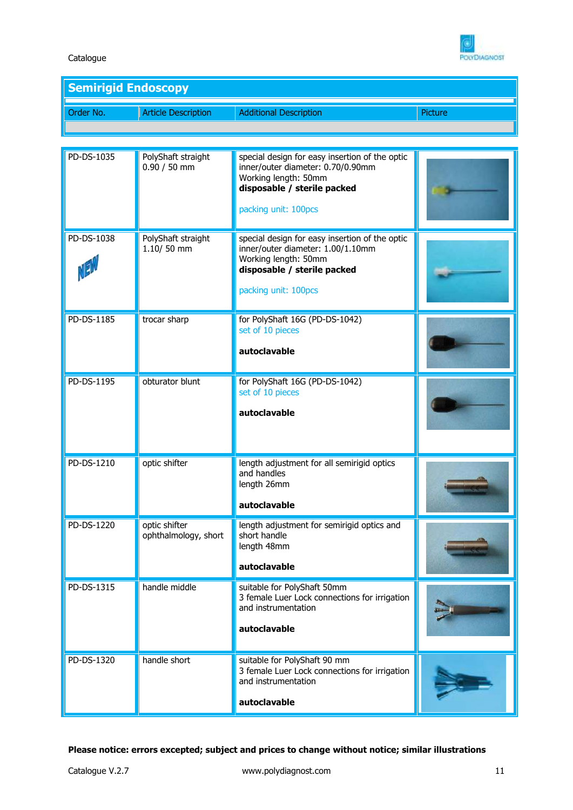

Order No. **Article Description** Additional Description **Additional Description** 

| PD-DS-1035 | PolyShaft straight<br>$0.90 / 50$ mm  | special design for easy insertion of the optic<br>inner/outer diameter: 0.70/0.90mm<br>Working length: 50mm<br>disposable / sterile packed<br>packing unit: 100pcs |  |
|------------|---------------------------------------|--------------------------------------------------------------------------------------------------------------------------------------------------------------------|--|
| PD-DS-1038 | PolyShaft straight<br>1.10/50 mm      | special design for easy insertion of the optic<br>inner/outer diameter: 1.00/1.10mm<br>Working length: 50mm<br>disposable / sterile packed<br>packing unit: 100pcs |  |
| PD-DS-1185 | trocar sharp                          | for PolyShaft 16G (PD-DS-1042)<br>set of 10 pieces<br>autoclavable                                                                                                 |  |
| PD-DS-1195 | obturator blunt                       | for PolyShaft 16G (PD-DS-1042)<br>set of 10 pieces<br>autoclavable                                                                                                 |  |
| PD-DS-1210 | optic shifter                         | length adjustment for all semirigid optics<br>and handles<br>length 26mm<br>autoclavable                                                                           |  |
| PD-DS-1220 | optic shifter<br>ophthalmology, short | length adjustment for semirigid optics and<br>short handle<br>length 48mm<br>autoclavable                                                                          |  |
| PD-DS-1315 | handle middle                         | suitable for PolyShaft 50mm<br>3 female Luer Lock connections for irrigation<br>and instrumentation<br>autoclavable                                                |  |
| PD-DS-1320 | handle short                          | suitable for PolyShaft 90 mm<br>3 female Luer Lock connections for irrigation<br>and instrumentation<br>autoclavable                                               |  |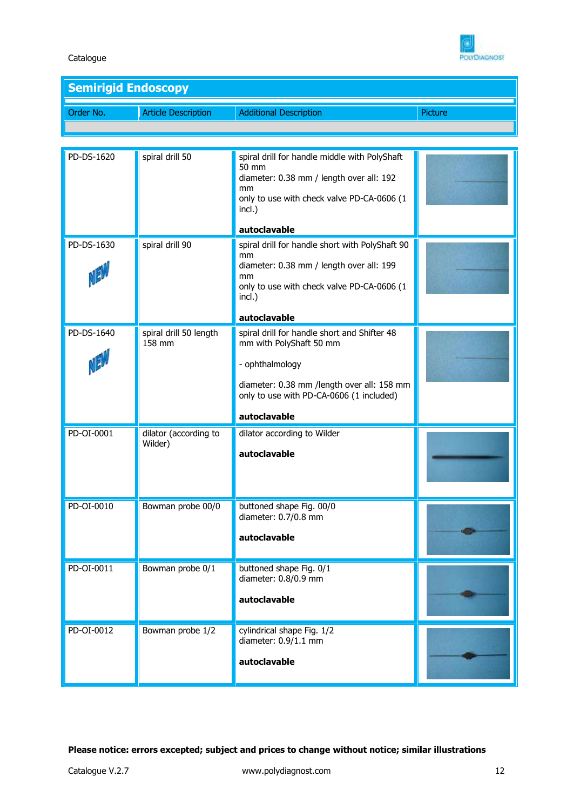

Order No. **Article Description** Additional Description **Additional Description** 

| PD-DS-1620<br>PD-DS-1630 | spiral drill 50<br>spiral drill 90 | spiral drill for handle middle with PolyShaft<br>50 mm<br>diameter: 0.38 mm / length over all: 192<br>mm<br>only to use with check valve PD-CA-0606 (1<br>incl.)<br>autoclavable<br>spiral drill for handle short with PolyShaft 90 |  |
|--------------------------|------------------------------------|-------------------------------------------------------------------------------------------------------------------------------------------------------------------------------------------------------------------------------------|--|
|                          |                                    | mm<br>diameter: 0.38 mm / length over all: 199<br>mm<br>only to use with check valve PD-CA-0606 (1<br>incl.)<br>autoclavable                                                                                                        |  |
| PD-DS-1640               | spiral drill 50 length<br>158 mm   | spiral drill for handle short and Shifter 48<br>mm with PolyShaft 50 mm<br>- ophthalmology<br>diameter: 0.38 mm /length over all: 158 mm<br>only to use with PD-CA-0606 (1 included)<br>autoclavable                                |  |
| PD-OI-0001               | dilator (according to<br>Wilder)   | dilator according to Wilder<br>autoclavable                                                                                                                                                                                         |  |
| PD-OI-0010               | Bowman probe 00/0                  | buttoned shape Fig. 00/0<br>diameter: 0.7/0.8 mm<br>autoclavable                                                                                                                                                                    |  |
| PD-OI-0011               | Bowman probe 0/1                   | buttoned shape Fig. 0/1<br>diameter: $0.8/0.9$ mm<br>autoclavable                                                                                                                                                                   |  |
| PD-OI-0012               | Bowman probe 1/2                   | cylindrical shape Fig. 1/2<br>diameter: 0.9/1.1 mm<br>autoclavable                                                                                                                                                                  |  |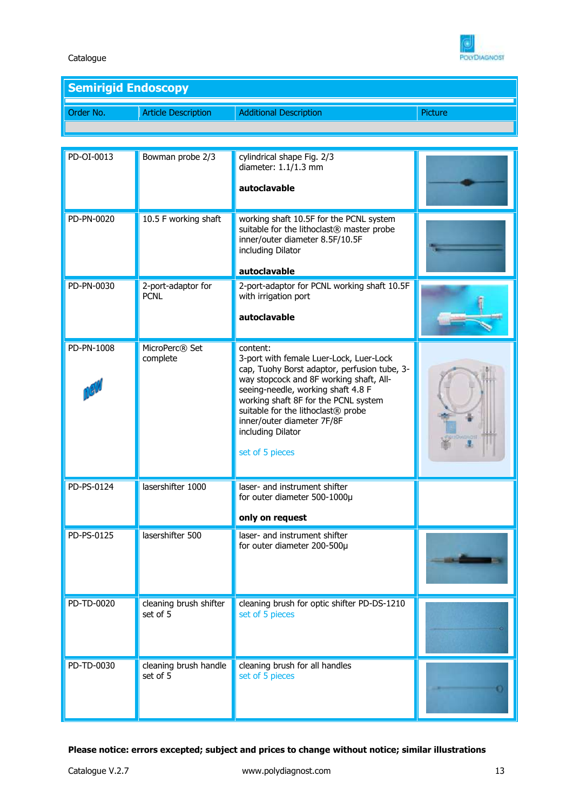

Order No. **Article Description** Additional Description **Additional Description** 

| PD-OI-0013 | Bowman probe 2/3                   | cylindrical shape Fig. 2/3<br>diameter: $1.1/1.3$ mm<br>autoclavable                                                                                                                                                                                                                                                                     |  |
|------------|------------------------------------|------------------------------------------------------------------------------------------------------------------------------------------------------------------------------------------------------------------------------------------------------------------------------------------------------------------------------------------|--|
| PD-PN-0020 | 10.5 F working shaft               | working shaft 10.5F for the PCNL system<br>suitable for the lithoclast® master probe<br>inner/outer diameter 8.5F/10.5F<br>including Dilator<br>autoclavable                                                                                                                                                                             |  |
| PD-PN-0030 | 2-port-adaptor for<br><b>PCNL</b>  | 2-port-adaptor for PCNL working shaft 10.5F<br>with irrigation port                                                                                                                                                                                                                                                                      |  |
|            |                                    | autoclavable                                                                                                                                                                                                                                                                                                                             |  |
| PD-PN-1008 | MicroPerc® Set<br>complete         | content:<br>3-port with female Luer-Lock, Luer-Lock<br>cap, Tuohy Borst adaptor, perfusion tube, 3-<br>way stopcock and 8F working shaft, All-<br>seeing-needle, working shaft 4.8 F<br>working shaft 8F for the PCNL system<br>suitable for the lithoclast® probe<br>inner/outer diameter 7F/8F<br>including Dilator<br>set of 5 pieces |  |
| PD-PS-0124 | lasershifter 1000                  | laser- and instrument shifter<br>for outer diameter 500-1000µ<br>only on request                                                                                                                                                                                                                                                         |  |
| PD-PS-0125 | lasershifter 500                   | laser- and instrument shifter<br>for outer diameter 200-500µ                                                                                                                                                                                                                                                                             |  |
| PD-TD-0020 | cleaning brush shifter<br>set of 5 | cleaning brush for optic shifter PD-DS-1210<br>set of 5 pieces                                                                                                                                                                                                                                                                           |  |
| PD-TD-0030 | cleaning brush handle<br>set of 5  | cleaning brush for all handles<br>set of 5 pieces                                                                                                                                                                                                                                                                                        |  |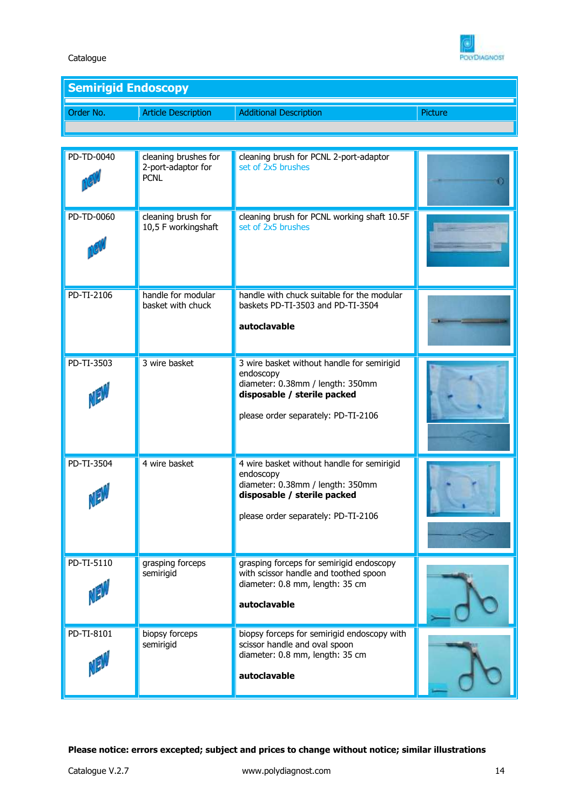

| Order No. | <b>Article Description</b> | <b>Additional Description</b> | Picture |
|-----------|----------------------------|-------------------------------|---------|
|           |                            |                               |         |

| PD-TD-0040 | cleaning brushes for<br>2-port-adaptor for<br><b>PCNL</b> | cleaning brush for PCNL 2-port-adaptor<br>set of 2x5 brushes                                                                                                      |  |
|------------|-----------------------------------------------------------|-------------------------------------------------------------------------------------------------------------------------------------------------------------------|--|
| PD-TD-0060 | cleaning brush for<br>10,5 F workingshaft                 | cleaning brush for PCNL working shaft 10.5F<br>set of 2x5 brushes                                                                                                 |  |
| PD-TI-2106 | handle for modular<br>basket with chuck                   | handle with chuck suitable for the modular<br>baskets PD-TI-3503 and PD-TI-3504<br>autoclavable                                                                   |  |
| PD-TI-3503 | 3 wire basket                                             | 3 wire basket without handle for semirigid<br>endoscopy<br>diameter: 0.38mm / length: 350mm<br>disposable / sterile packed<br>please order separately: PD-TI-2106 |  |
| PD-TI-3504 | 4 wire basket                                             | 4 wire basket without handle for semirigid<br>endoscopy<br>diameter: 0.38mm / length: 350mm<br>disposable / sterile packed<br>please order separately: PD-TI-2106 |  |
| PD-TI-5110 | grasping forceps<br>semirigid                             | grasping forceps for semirigid endoscopy<br>with scissor handle and toothed spoon<br>diameter: 0.8 mm, length: 35 cm<br>autoclavable                              |  |
| PD-TI-8101 | biopsy forceps<br>semirigid                               | biopsy forceps for semirigid endoscopy with<br>scissor handle and oval spoon<br>diameter: 0.8 mm, length: 35 cm<br>autoclavable                                   |  |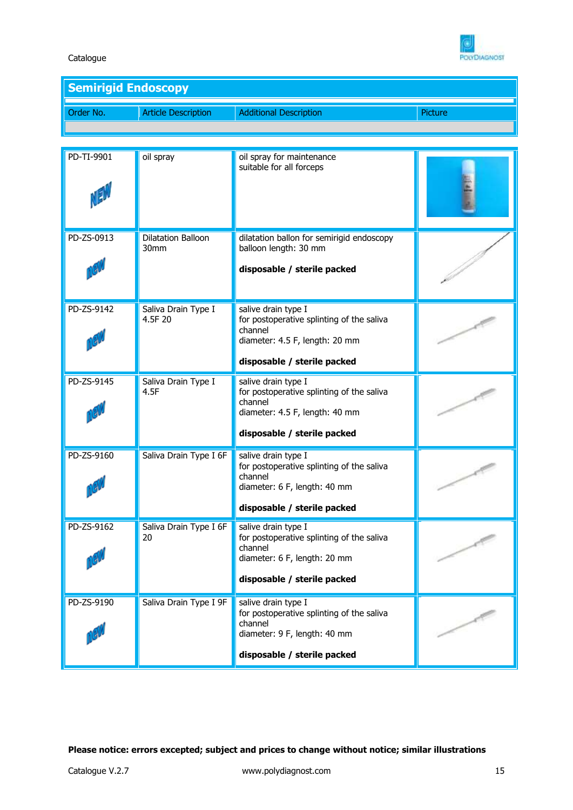

Order No. **Article Description** Additional Description **Additional Description** 

| PD-TI-9901 | oil spray                              | oil spray for maintenance<br>suitable for all forceps                                                                                        |  |
|------------|----------------------------------------|----------------------------------------------------------------------------------------------------------------------------------------------|--|
| PD-ZS-0913 | Dilatation Balloon<br>30 <sub>mm</sub> | dilatation ballon for semirigid endoscopy<br>balloon length: 30 mm<br>disposable / sterile packed                                            |  |
| PD-ZS-9142 | Saliva Drain Type I<br>4.5F 20         | salive drain type I<br>for postoperative splinting of the saliva<br>channel<br>diameter: 4.5 F, length: 20 mm<br>disposable / sterile packed |  |
| PD-ZS-9145 | Saliva Drain Type I<br>4.5F            | salive drain type I<br>for postoperative splinting of the saliva<br>channel<br>diameter: 4.5 F, length: 40 mm<br>disposable / sterile packed |  |
| PD-ZS-9160 | Saliva Drain Type I 6F                 | salive drain type I<br>for postoperative splinting of the saliva<br>channel<br>diameter: 6 F, length: 40 mm<br>disposable / sterile packed   |  |
| PD-ZS-9162 | Saliva Drain Type I 6F<br>20           | salive drain type I<br>for postoperative splinting of the saliva<br>channel<br>diameter: 6 F, length: 20 mm<br>disposable / sterile packed   |  |
| PD-ZS-9190 | Saliva Drain Type I 9F                 | salive drain type I<br>for postoperative splinting of the saliva<br>channel<br>diameter: 9 F, length: 40 mm<br>disposable / sterile packed   |  |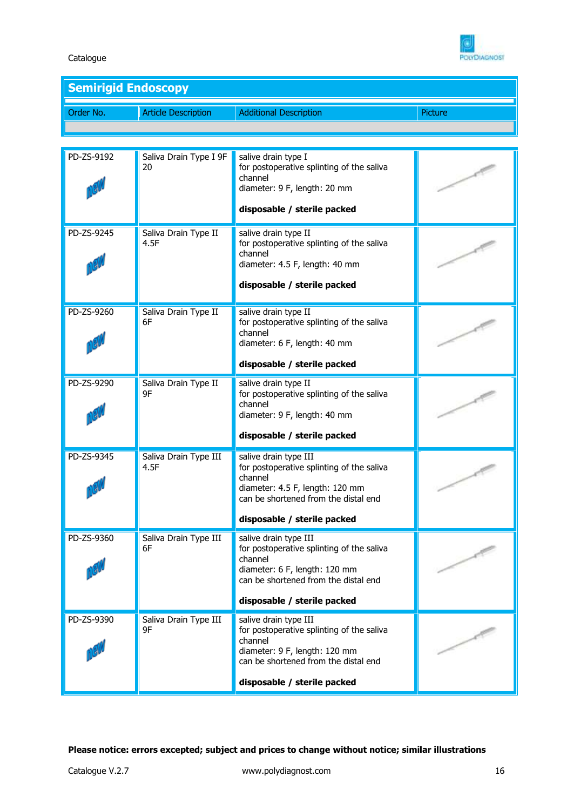

Order No. **Article Description** Additional Description **Additional Description** 

| PD-ZS-9192 | Saliva Drain Type I 9F<br>20  | salive drain type I<br>for postoperative splinting of the saliva<br>channel<br>diameter: 9 F, length: 20 mm<br>disposable / sterile packed                                              |  |
|------------|-------------------------------|-----------------------------------------------------------------------------------------------------------------------------------------------------------------------------------------|--|
| PD-ZS-9245 | Saliva Drain Type II<br>4.5F  | salive drain type II<br>for postoperative splinting of the saliva<br>channel<br>diameter: 4.5 F, length: 40 mm<br>disposable / sterile packed                                           |  |
| PD-ZS-9260 | Saliva Drain Type II<br>6F    | salive drain type II<br>for postoperative splinting of the saliva<br>channel<br>diameter: 6 F, length: 40 mm<br>disposable / sterile packed                                             |  |
| PD-ZS-9290 | Saliva Drain Type II<br>9F    | salive drain type II<br>for postoperative splinting of the saliva<br>channel<br>diameter: 9 F, length: 40 mm<br>disposable / sterile packed                                             |  |
| PD-ZS-9345 | Saliva Drain Type III<br>4.5F | salive drain type III<br>for postoperative splinting of the saliva<br>channel<br>diameter: 4.5 F, length: 120 mm<br>can be shortened from the distal end<br>disposable / sterile packed |  |
| PD-ZS-9360 | Saliva Drain Type III<br>6F   | salive drain type III<br>for postoperative splinting of the saliva<br>channel<br>diameter: 6 F, length: 120 mm<br>can be shortened from the distal end<br>disposable / sterile packed   |  |
| PD-ZS-9390 | Saliva Drain Type III<br>9F   | salive drain type III<br>for postoperative splinting of the saliva<br>channel<br>diameter: 9 F, length: 120 mm<br>can be shortened from the distal end<br>disposable / sterile packed   |  |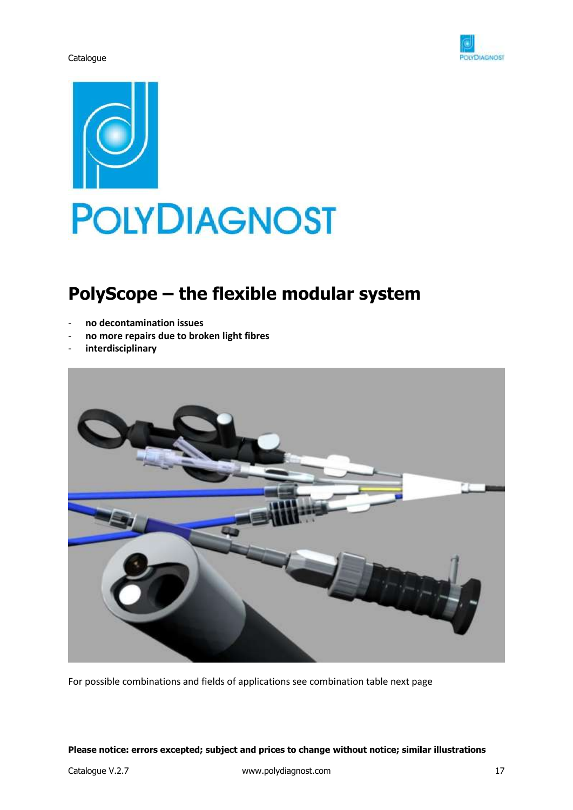



# **PolyScope – the flexible modular system**

- **no decontamination issues**
- **no more repairs due to broken light fibres**
- **interdisciplinary**



For possible combinations and fields of applications see combination table next page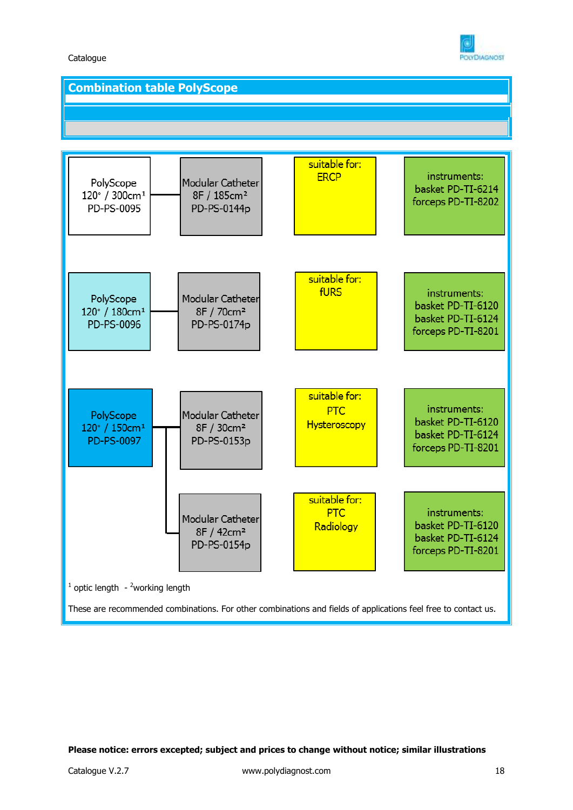

## **Combination table PolyScope**

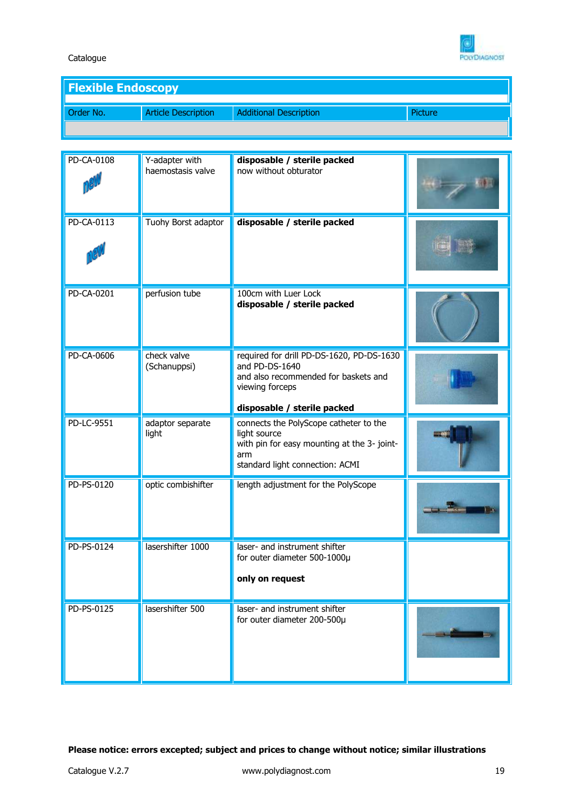

**Flexible Endoscopy** Order No. **Article Description** Additional Description **Additional Description** 

| PD-CA-0108 | Y-adapter with<br>haemostasis valve | disposable / sterile packed<br>now without obturator                                                                                                  |  |
|------------|-------------------------------------|-------------------------------------------------------------------------------------------------------------------------------------------------------|--|
| PD-CA-0113 | Tuohy Borst adaptor                 | disposable / sterile packed                                                                                                                           |  |
| PD-CA-0201 | perfusion tube                      | 100cm with Luer Lock<br>disposable / sterile packed                                                                                                   |  |
| PD-CA-0606 | check valve<br>(Schanuppsi)         | required for drill PD-DS-1620, PD-DS-1630<br>and PD-DS-1640<br>and also recommended for baskets and<br>viewing forceps<br>disposable / sterile packed |  |
| PD-LC-9551 | adaptor separate<br>light           | connects the PolyScope catheter to the<br>light source<br>with pin for easy mounting at the 3- joint-<br>arm<br>standard light connection: ACMI       |  |
| PD-PS-0120 | optic combishifter                  | length adjustment for the PolyScope                                                                                                                   |  |
| PD-PS-0124 | lasershifter 1000                   | laser- and instrument shifter<br>for outer diameter 500-1000µ<br>only on request                                                                      |  |
| PD-PS-0125 | lasershifter 500                    | laser- and instrument shifter<br>for outer diameter 200-500µ                                                                                          |  |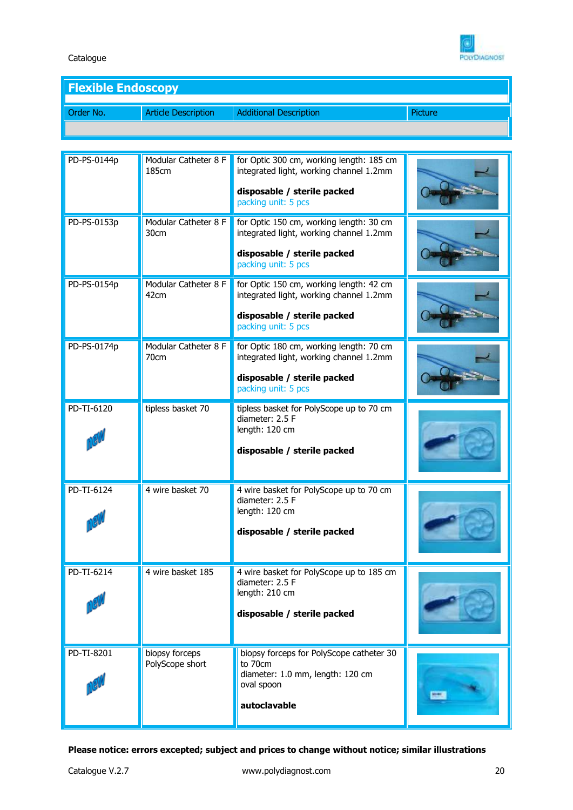

| <b>Flexible Endoscopy</b> |                            |                               |         |  |
|---------------------------|----------------------------|-------------------------------|---------|--|
|                           |                            |                               |         |  |
| Order No.                 | <b>Article Description</b> | <b>Additional Description</b> | Picture |  |
|                           |                            |                               |         |  |

| PD-PS-0144p | Modular Catheter 8 F<br>185cm     | for Optic 300 cm, working length: 185 cm<br>integrated light, working channel 1.2mm<br>disposable / sterile packed<br>packing unit: 5 pcs |  |
|-------------|-----------------------------------|-------------------------------------------------------------------------------------------------------------------------------------------|--|
| PD-PS-0153p | Modular Catheter 8 F<br>30cm      | for Optic 150 cm, working length: 30 cm<br>integrated light, working channel 1.2mm<br>disposable / sterile packed<br>packing unit: 5 pcs  |  |
| PD-PS-0154p | Modular Catheter 8 F<br>42cm      | for Optic 150 cm, working length: 42 cm<br>integrated light, working channel 1.2mm<br>disposable / sterile packed<br>packing unit: 5 pcs  |  |
| PD-PS-0174p | Modular Catheter 8 F<br>70cm      | for Optic 180 cm, working length: 70 cm<br>integrated light, working channel 1.2mm<br>disposable / sterile packed<br>packing unit: 5 pcs  |  |
| PD-TI-6120  | tipless basket 70                 | tipless basket for PolyScope up to 70 cm<br>diameter: 2.5 F<br>length: 120 cm<br>disposable / sterile packed                              |  |
| PD-TI-6124  | 4 wire basket 70                  | 4 wire basket for PolyScope up to 70 cm<br>diameter: 2.5 F<br>length: 120 cm<br>disposable / sterile packed                               |  |
| PD-TI-6214  | 4 wire basket 185                 | 4 wire basket for PolyScope up to 185 cm<br>diameter: 2.5 F<br>length: 210 cm<br>disposable / sterile packed                              |  |
| PD-TI-8201  | biopsy forceps<br>PolyScope short | biopsy forceps for PolyScope catheter 30<br>to 70cm<br>diameter: 1.0 mm, length: 120 cm<br>oval spoon<br>autoclavable                     |  |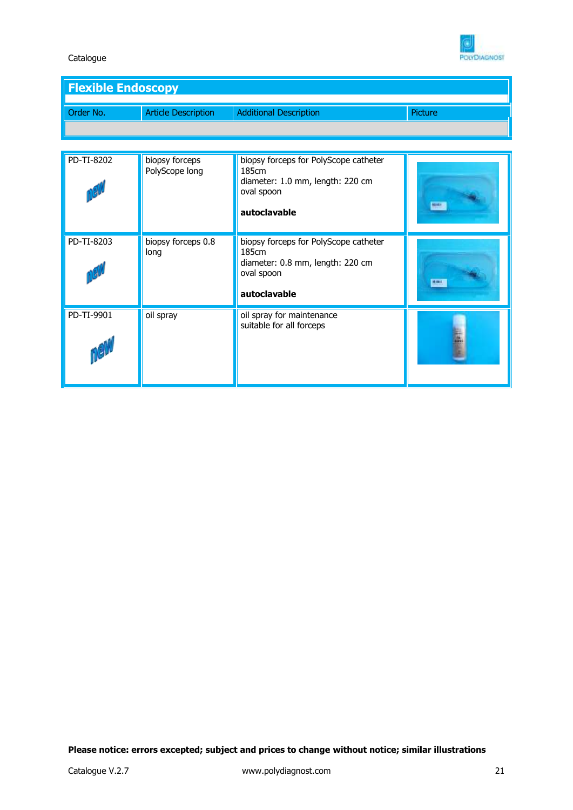

| <b>Flexible Endoscopy</b> |                            |                               |         |
|---------------------------|----------------------------|-------------------------------|---------|
| Order No.                 | <b>Article Description</b> | <b>Additional Description</b> | Picture |
|                           |                            |                               |         |

| PD-TI-8202 | biopsy forceps<br>PolyScope long | biopsy forceps for PolyScope catheter<br>185cm<br>diameter: 1.0 mm, length: 220 cm<br>oval spoon<br>autoclavable |  |
|------------|----------------------------------|------------------------------------------------------------------------------------------------------------------|--|
| PD-TI-8203 | biopsy forceps 0.8<br>long       | biopsy forceps for PolyScope catheter<br>185cm<br>diameter: 0.8 mm, length: 220 cm<br>oval spoon<br>autoclavable |  |
| PD-TI-9901 | oil spray                        | oil spray for maintenance<br>suitable for all forceps                                                            |  |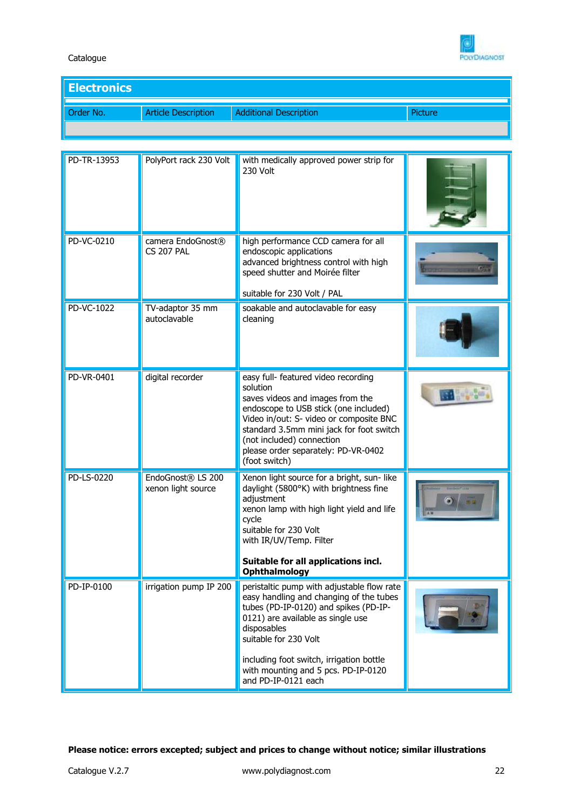

| <b>Electronics</b> |                                        |                                                                                                                                                                           |         |  |
|--------------------|----------------------------------------|---------------------------------------------------------------------------------------------------------------------------------------------------------------------------|---------|--|
| Order No.          | <b>Article Description</b>             | <b>Additional Description</b>                                                                                                                                             | Picture |  |
|                    |                                        |                                                                                                                                                                           |         |  |
| PD-TR-13953        | PolyPort rack 230 Volt                 | with medically approved power strip for<br>230 Volt                                                                                                                       |         |  |
| PD-VC-0210         | camera EndoGnost®<br><b>CS 207 PAL</b> | high performance CCD camera for all<br>endoscopic applications<br>advanced brightness control with high<br>speed shutter and Moirée filter<br>suitable for 230 Volt / PAL |         |  |
| PD-VC-1022         | TV-adaptor 35 mm<br>autoclavable       | soakable and autoclavable for easy<br>cleaning                                                                                                                            |         |  |

| PD-VC-1022 | TV-adaptor 35 mm<br>autoclavable        | soakable and autoclavable for easy<br>cleaning                                                                                                                                                                                                                                                                        |  |
|------------|-----------------------------------------|-----------------------------------------------------------------------------------------------------------------------------------------------------------------------------------------------------------------------------------------------------------------------------------------------------------------------|--|
| PD-VR-0401 | digital recorder                        | easy full- featured video recording<br>solution<br>saves videos and images from the<br>endoscope to USB stick (one included)<br>Video in/out: S- video or composite BNC<br>standard 3.5mm mini jack for foot switch<br>(not included) connection<br>please order separately: PD-VR-0402<br>(foot switch)              |  |
| PD-LS-0220 | EndoGnost® LS 200<br>xenon light source | Xenon light source for a bright, sun-like<br>daylight (5800°K) with brightness fine<br>adjustment<br>xenon lamp with high light yield and life<br>cycle<br>suitable for 230 Volt<br>with IR/UV/Temp. Filter<br>Suitable for all applications incl.<br>Ophthalmology                                                   |  |
| PD-IP-0100 | irrigation pump IP 200                  | peristaltic pump with adjustable flow rate<br>easy handling and changing of the tubes<br>tubes (PD-IP-0120) and spikes (PD-IP-<br>0121) are available as single use<br>disposables<br>suitable for 230 Volt<br>including foot switch, irrigation bottle<br>with mounting and 5 pcs. PD-IP-0120<br>and PD-IP-0121 each |  |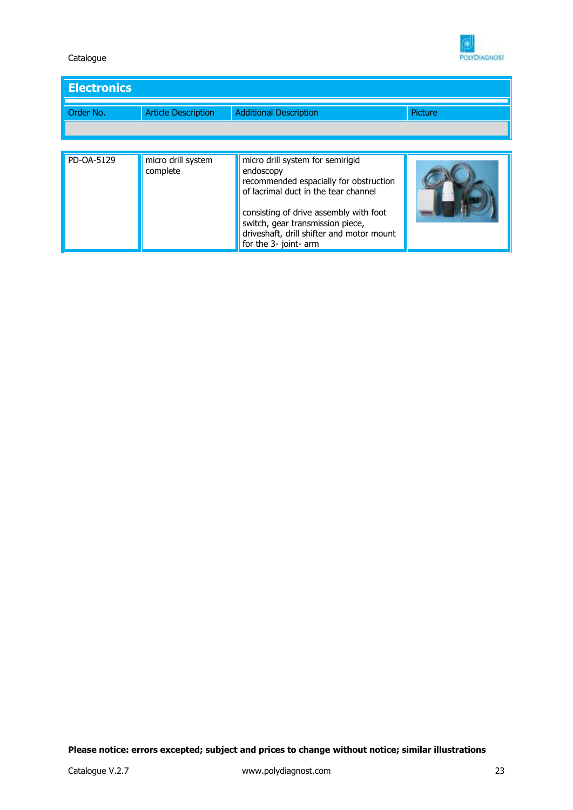

| <b>Electronics</b> |                                |                                                                                                                                                                                                                                                                                     |         |  |  |
|--------------------|--------------------------------|-------------------------------------------------------------------------------------------------------------------------------------------------------------------------------------------------------------------------------------------------------------------------------------|---------|--|--|
| Order No.          | <b>Article Description</b>     | <b>Additional Description</b>                                                                                                                                                                                                                                                       | Picture |  |  |
|                    |                                |                                                                                                                                                                                                                                                                                     |         |  |  |
| PD-OA-5129         | micro drill system<br>complete | micro drill system for semirigid<br>endoscopy<br>recommended espacially for obstruction<br>of lacrimal duct in the tear channel<br>consisting of drive assembly with foot<br>switch, gear transmission piece,<br>driveshaft, drill shifter and motor mount<br>for the 3- joint- arm |         |  |  |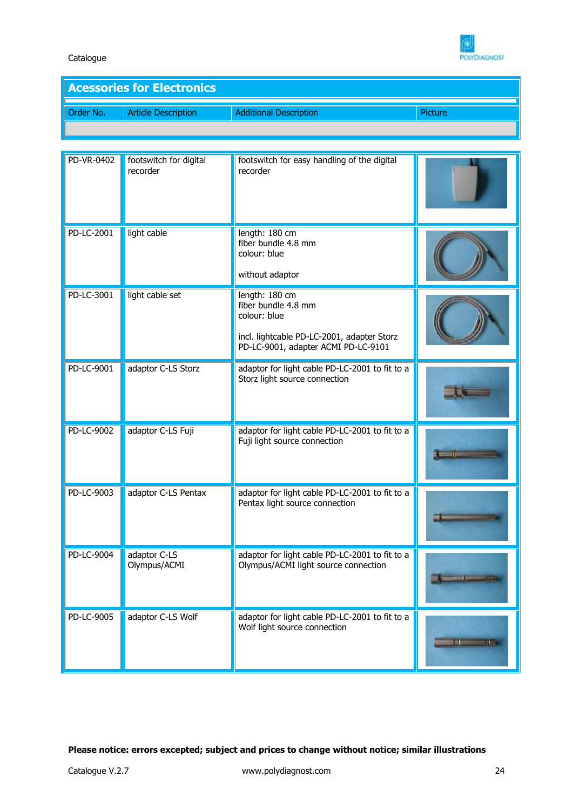

| <b>Acessories for Electronics</b> |                                    |                                                                                                                                            |         |  |
|-----------------------------------|------------------------------------|--------------------------------------------------------------------------------------------------------------------------------------------|---------|--|
| Order No.                         | <b>Article Description</b>         | <b>Additional Description</b>                                                                                                              | Picture |  |
|                                   |                                    |                                                                                                                                            |         |  |
|                                   |                                    |                                                                                                                                            |         |  |
| PD-VR-0402                        | footswitch for digital<br>recorder | footswitch for easy handling of the digital<br>recorder                                                                                    |         |  |
| PD-LC-2001                        | light cable                        | length: 180 cm<br>fiber bundle 4.8 mm<br>colour: blue<br>without adaptor                                                                   |         |  |
| PD-LC-3001                        | light cable set                    | length: 180 cm<br>fiber bundle 4.8 mm<br>colour: blue<br>incl. lightcable PD-LC-2001, adapter Storz<br>PD-LC-9001, adapter ACMI PD-LC-9101 |         |  |
| PD-LC-9001                        | adaptor C-LS Storz                 | adaptor for light cable PD-LC-2001 to fit to a<br>Storz light source connection                                                            |         |  |
| PD-LC-9002                        | adaptor C-LS Fuji                  | adaptor for light cable PD-LC-2001 to fit to a<br>Fuji light source connection                                                             |         |  |
| PD-LC-9003                        | adaptor C-LS Pentax                | adaptor for light cable PD-LC-2001 to fit to a<br>Pentax light source connection                                                           |         |  |
| PD-LC-9004                        | adaptor C-LS<br>Olympus/ACMI       | adaptor for light cable PD-LC-2001 to fit to a<br>Olympus/ACMI light source connection                                                     |         |  |
| PD-LC-9005                        | adaptor C-LS Wolf                  | adaptor for light cable PD-LC-2001 to fit to a<br>Wolf light source connection                                                             |         |  |

 $\mathbf{U}$   $\mathbf{U}$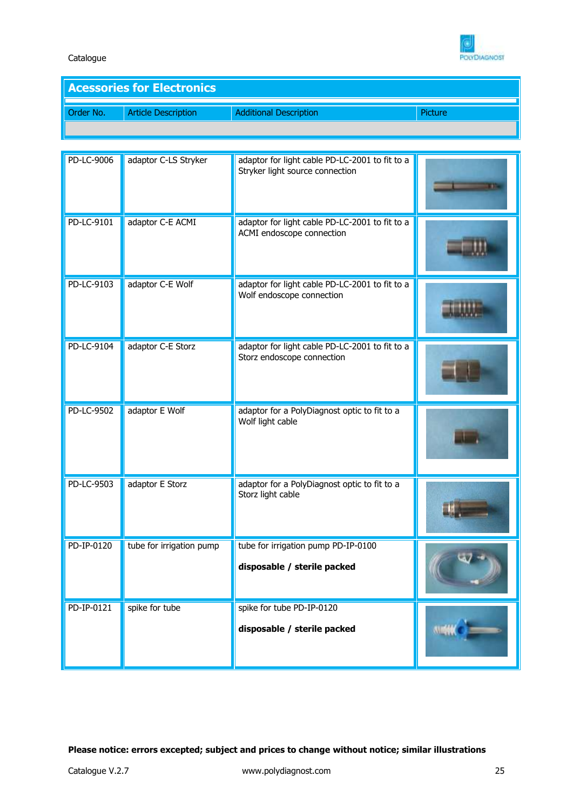

| <b>Acessories for Electronics</b> |                            |                               |         |
|-----------------------------------|----------------------------|-------------------------------|---------|
|                                   |                            |                               |         |
| Order No.                         | <b>Article Description</b> | <b>Additional Description</b> | Picture |

| PD-LC-9006 | adaptor C-LS Stryker     | adaptor for light cable PD-LC-2001 to fit to a<br>Stryker light source connection |  |
|------------|--------------------------|-----------------------------------------------------------------------------------|--|
| PD-LC-9101 | adaptor C-E ACMI         | adaptor for light cable PD-LC-2001 to fit to a<br>ACMI endoscope connection       |  |
| PD-LC-9103 | adaptor C-E Wolf         | adaptor for light cable PD-LC-2001 to fit to a<br>Wolf endoscope connection       |  |
| PD-LC-9104 | adaptor C-E Storz        | adaptor for light cable PD-LC-2001 to fit to a<br>Storz endoscope connection      |  |
| PD-LC-9502 | adaptor E Wolf           | adaptor for a PolyDiagnost optic to fit to a<br>Wolf light cable                  |  |
| PD-LC-9503 | adaptor E Storz          | adaptor for a PolyDiagnost optic to fit to a<br>Storz light cable                 |  |
| PD-IP-0120 | tube for irrigation pump | tube for irrigation pump PD-IP-0100<br>disposable / sterile packed                |  |
| PD-IP-0121 | spike for tube           | spike for tube PD-IP-0120<br>disposable / sterile packed                          |  |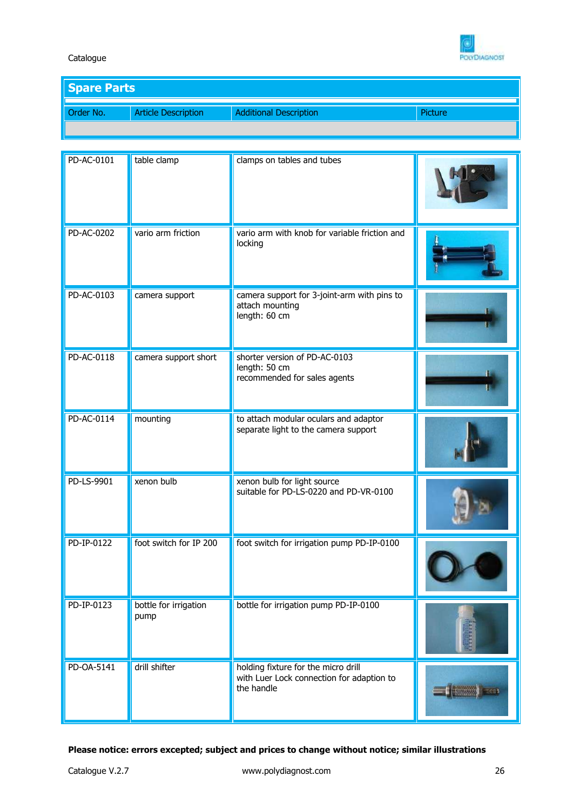

| <b>Spare Parts</b> |                            |                               |         |  |
|--------------------|----------------------------|-------------------------------|---------|--|
|                    |                            |                               |         |  |
| Order No.          | <b>Article Description</b> | <b>Additional Description</b> | Picture |  |

| PD-AC-0101 | table clamp                   | clamps on tables and tubes                                                                     |  |
|------------|-------------------------------|------------------------------------------------------------------------------------------------|--|
| PD-AC-0202 | vario arm friction            | vario arm with knob for variable friction and<br>locking                                       |  |
| PD-AC-0103 | camera support                | camera support for 3-joint-arm with pins to<br>attach mounting<br>length: 60 cm                |  |
| PD-AC-0118 | camera support short          | shorter version of PD-AC-0103<br>length: 50 cm<br>recommended for sales agents                 |  |
| PD-AC-0114 | mounting                      | to attach modular oculars and adaptor<br>separate light to the camera support                  |  |
| PD-LS-9901 | xenon bulb                    | xenon bulb for light source<br>suitable for PD-LS-0220 and PD-VR-0100                          |  |
| PD-IP-0122 | foot switch for IP 200        | foot switch for irrigation pump PD-IP-0100                                                     |  |
| PD-IP-0123 | bottle for irrigation<br>pump | bottle for irrigation pump PD-IP-0100                                                          |  |
| PD-OA-5141 | drill shifter                 | holding fixture for the micro drill<br>with Luer Lock connection for adaption to<br>the handle |  |